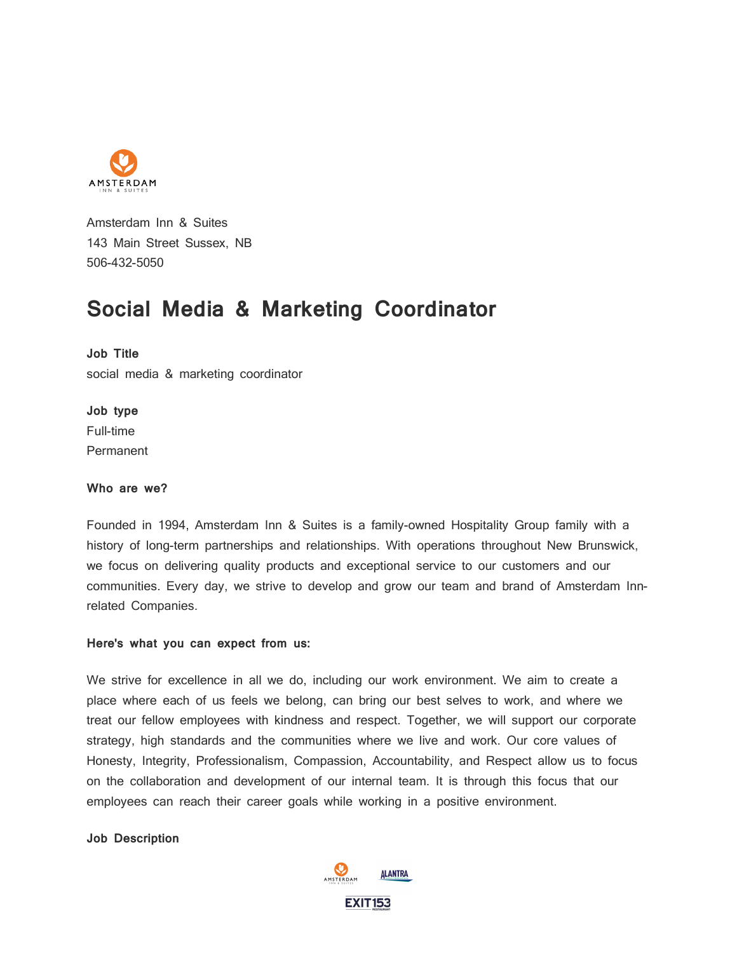

Amsterdam Inn & Suites 143 Main Street Sussex, NB 506-432-5050

# **Social Media & Marketing Coordinator**

**Job Title**

social media & marketing coordinator

**Job type** Full-time Permanent

## **Who are we?**

Founded in 1994, Amsterdam Inn & Suites is a family-owned Hospitality Group family with a history of long-term partnerships and relationships. With operations throughout New Brunswick, we focus on delivering quality products and exceptional service to our customers and our communities. Every day, we strive to develop and grow our team and brand of Amsterdam Innrelated Companies.

#### **Here's what you can expect from us:**

We strive for excellence in all we do, including our work environment. We aim to create a place where each of us feels we belong, can bring our best selves to work, and where we treat our fellow employees with kindness and respect. Together, we will support our corporate strategy, high standards and the communities where we live and work. Our core values of Honesty, Integrity, Professionalism, Compassion, Accountability, and Respect allow us to focus on the collaboration and development of our internal team. It is through this focus that our employees can reach their career goals while working in a positive environment.

**Job Description**

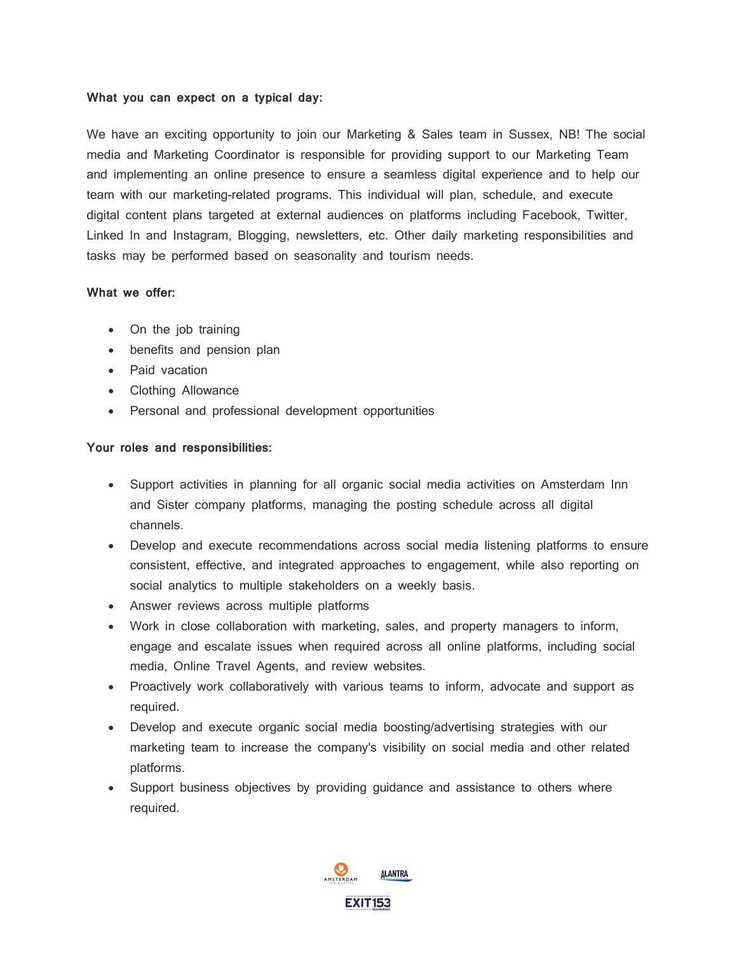#### **What you can expect on a typical day:**

We have an exciting opportunity to join our Marketing & Sales team in Sussex, NB! The social media and Marketing Coordinator is responsible for providing support to our Marketing Team and implementing an online presence to ensure a seamless digital experience and to help our team with our marketing-related programs. This individual will plan, schedule, and execute digital content plans targeted at external audiences on platforms including Facebook, Twitter, Linked In and Instagram, Blogging, newsletters, etc. Other daily marketing responsibilities and tasks may be performed based on seasonality and tourism needs.

## **What we offer:**

- On the job training
- benefits and pension plan
- Paid vacation
- Clothing Allowance
- Personal and professional development opportunities

# **Your roles and responsibilities:**

- Support activities in planning for all organic social media activities on Amsterdam Inn and Sister company platforms, managing the posting schedule across all digital channels.
- Develop and execute recommendations across social media listening platforms to ensure consistent, effective, and integrated approaches to engagement, while also reporting on social analytics to multiple stakeholders on a weekly basis.
- Answer reviews across multiple platforms
- Work in close collaboration with marketing, sales, and property managers to inform, engage and escalate issues when required across all online platforms, including social media, Online Travel Agents, and review websites.
- Proactively work collaboratively with various teams to inform, advocate and support as required.
- Develop and execute organic social media boosting/advertising strategies with our marketing team to increase the company's visibility on social media and other related platforms.
- Support business objectives by providing guidance and assistance to others where required.

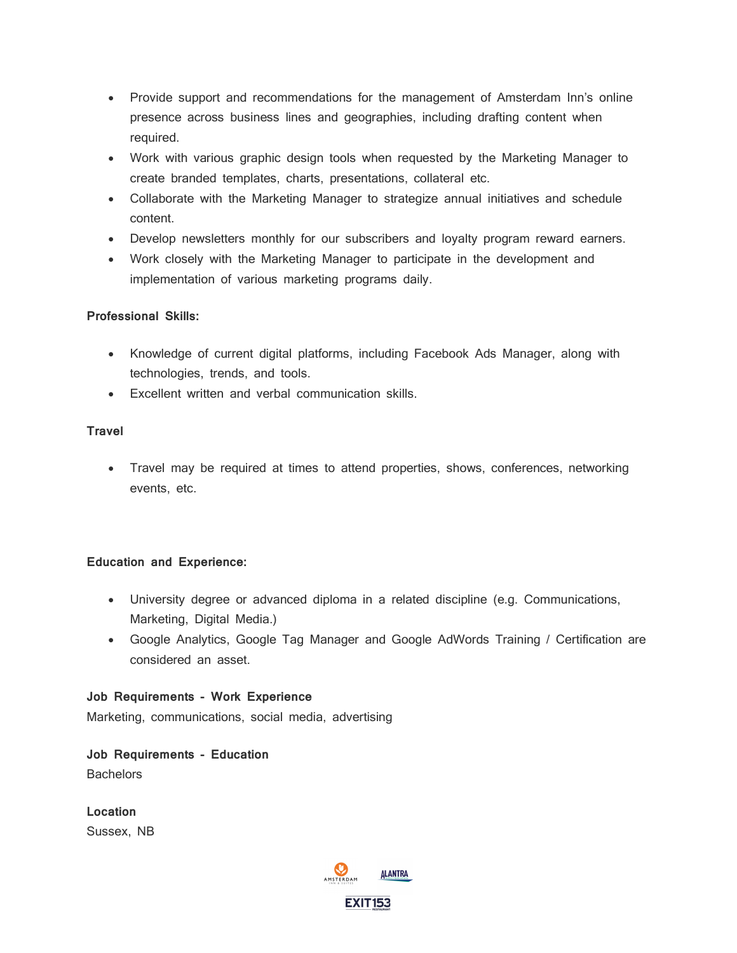- Provide support and recommendations for the management of Amsterdam Inn's online presence across business lines and geographies, including drafting content when required.
- Work with various graphic design tools when requested by the Marketing Manager to create branded templates, charts, presentations, collateral etc.
- Collaborate with the Marketing Manager to strategize annual initiatives and schedule content.
- Develop newsletters monthly for our subscribers and loyalty program reward earners.
- Work closely with the Marketing Manager to participate in the development and implementation of various marketing programs daily.

## **Professional Skills:**

- Knowledge of current digital platforms, including Facebook Ads Manager, along with technologies, trends, and tools.
- Excellent written and verbal communication skills.

# **Travel**

• Travel may be required at times to attend properties, shows, conferences, networking events, etc.

## **Education and Experience:**

- University degree or advanced diploma in a related discipline (e.g. Communications, Marketing, Digital Media.)
- Google Analytics, Google Tag Manager and Google AdWords Training / Certification are considered an asset.

**Job Requirements - Work Experience** Marketing, communications, social media, advertising

**Job Requirements - Education Bachelors** 

**Location** Sussex, NB